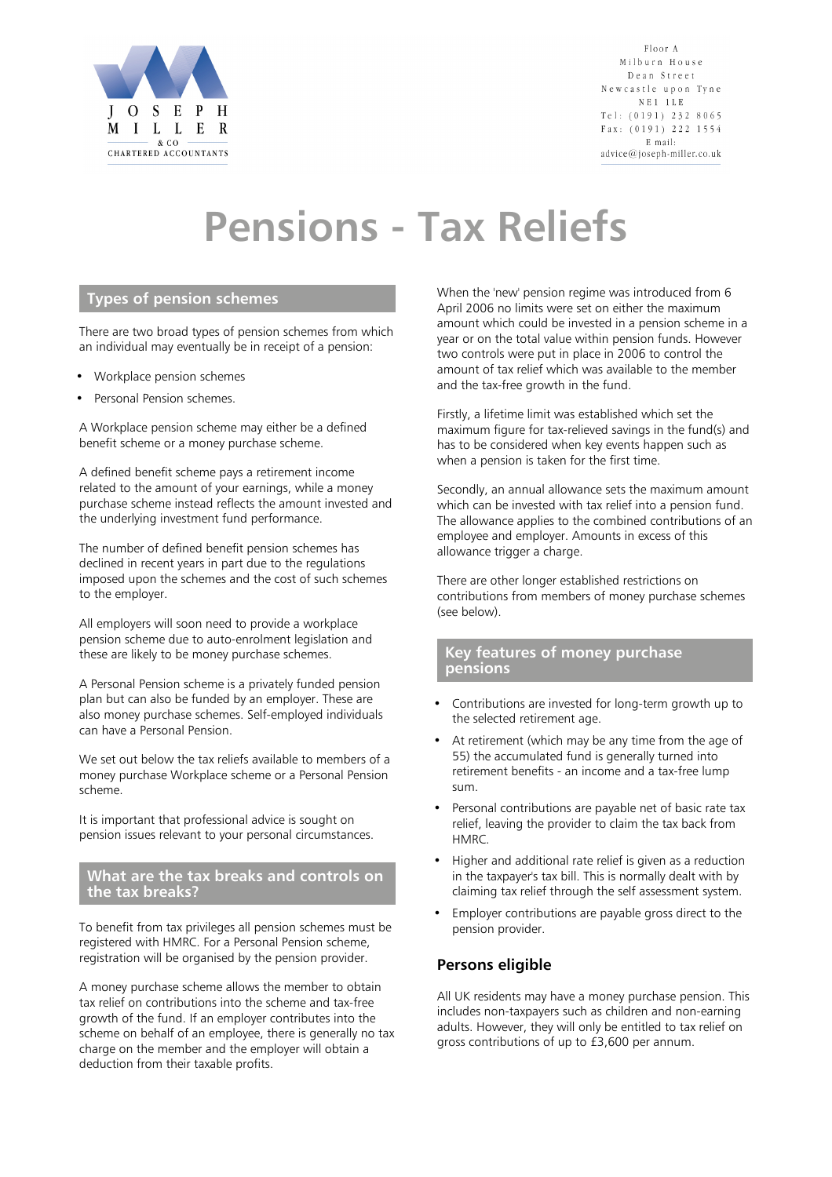

Floor A Milburn House Dean Street Newcastle upon Tyne NE<sub>1</sub> 1LE Tel:  $(0191)$  232 8065 Fax: (0191) 222 1554 E mail: advice@joseph-miller.co.uk

# **Pensions - Tax Reliefs**

# **Types of pension schemes**

There are two broad types of pension schemes from which an individual may eventually be in receipt of a pension:

- Workplace pension schemes
- Personal Pension schemes.

A Workplace pension scheme may either be a defined benefit scheme or a money purchase scheme.

A defined benefit scheme pays a retirement income related to the amount of your earnings, while a money purchase scheme instead reflects the amount invested and the underlying investment fund performance.

The number of defined benefit pension schemes has declined in recent years in part due to the regulations imposed upon the schemes and the cost of such schemes to the employer.

All employers will soon need to provide a workplace pension scheme due to auto-enrolment legislation and these are likely to be money purchase schemes.

A Personal Pension scheme is a privately funded pension plan but can also be funded by an employer. These are also money purchase schemes. Self-employed individuals can have a Personal Pension.

We set out below the tax reliefs available to members of a money purchase Workplace scheme or a Personal Pension scheme.

It is important that professional advice is sought on pension issues relevant to your personal circumstances.

#### **What are the tax breaks and controls on the tax breaks?**

To benefit from tax privileges all pension schemes must be registered with HMRC. For a Personal Pension scheme, registration will be organised by the pension provider.

A money purchase scheme allows the member to obtain tax relief on contributions into the scheme and tax-free growth of the fund. If an employer contributes into the scheme on behalf of an employee, there is generally no tax charge on the member and the employer will obtain a deduction from their taxable profits.

When the 'new' pension regime was introduced from 6 April 2006 no limits were set on either the maximum amount which could be invested in a pension scheme in a year or on the total value within pension funds. However two controls were put in place in 2006 to control the amount of tax relief which was available to the member and the tax-free growth in the fund.

Firstly, a lifetime limit was established which set the maximum figure for tax-relieved savings in the fund(s) and has to be considered when key events happen such as when a pension is taken for the first time.

Secondly, an annual allowance sets the maximum amount which can be invested with tax relief into a pension fund. The allowance applies to the combined contributions of an employee and employer. Amounts in excess of this allowance trigger a charge.

There are other longer established restrictions on contributions from members of money purchase schemes (see below).

#### **Key features of money purchase pensions**

- Contributions are invested for long-term growth up to the selected retirement age.
- At retirement (which may be any time from the age of 55) the accumulated fund is generally turned into retirement benefits - an income and a tax-free lump sum.
- Personal contributions are payable net of basic rate tax relief, leaving the provider to claim the tax back from HMRC.
- Higher and additional rate relief is given as a reduction in the taxpayer's tax bill. This is normally dealt with by claiming tax relief through the self assessment system.
- Employer contributions are payable gross direct to the pension provider.

#### **Persons eligible**

All UK residents may have a money purchase pension. This includes non-taxpayers such as children and non-earning adults. However, they will only be entitled to tax relief on gross contributions of up to £3,600 per annum.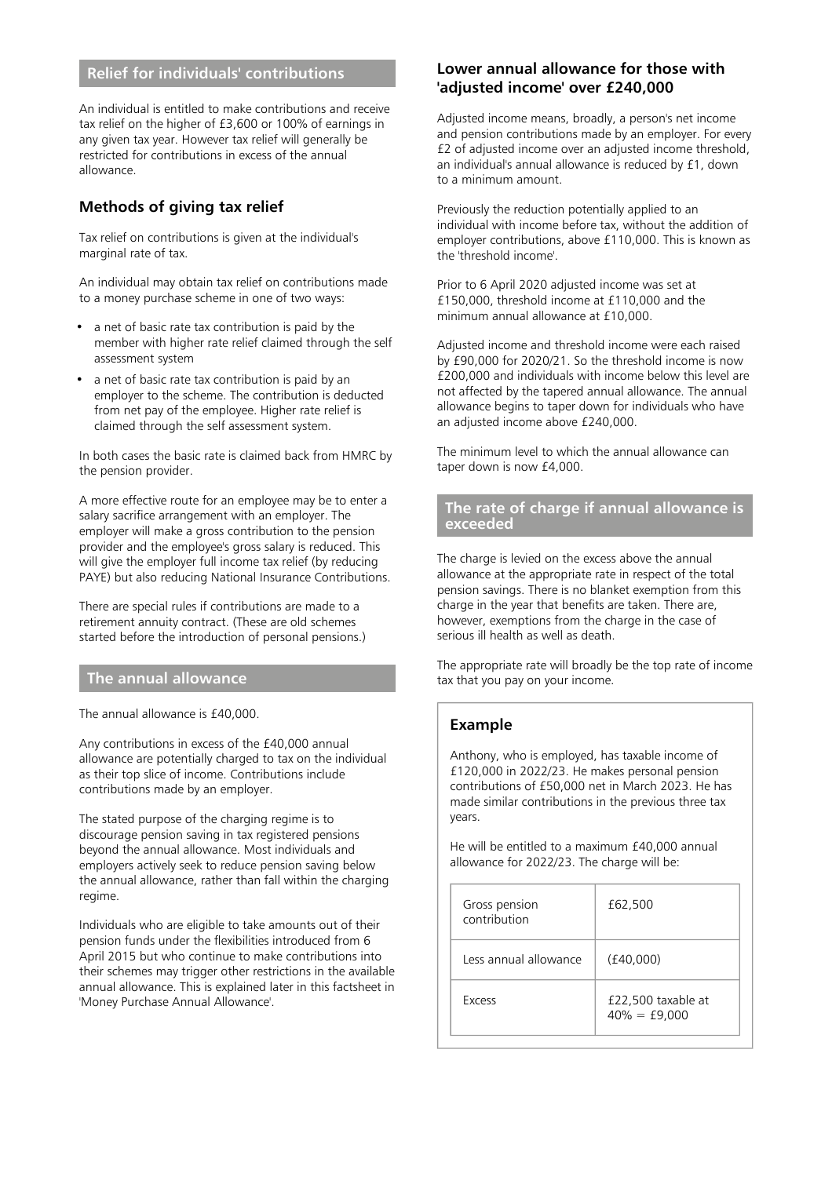# **Relief for individuals' contributions**

An individual is entitled to make contributions and receive tax relief on the higher of £3,600 or 100% of earnings in any given tax year. However tax relief will generally be restricted for contributions in excess of the annual allowance.

# **Methods of giving tax relief**

Tax relief on contributions is given at the individual's marginal rate of tax.

An individual may obtain tax relief on contributions made to a money purchase scheme in one of two ways:

- a net of basic rate tax contribution is paid by the member with higher rate relief claimed through the self assessment system
- a net of basic rate tax contribution is paid by an employer to the scheme. The contribution is deducted from net pay of the employee. Higher rate relief is claimed through the self assessment system.

In both cases the basic rate is claimed back from HMRC by the pension provider.

A more effective route for an employee may be to enter a salary sacrifice arrangement with an employer. The employer will make a gross contribution to the pension provider and the employee's gross salary is reduced. This will give the employer full income tax relief (by reducing PAYE) but also reducing National Insurance Contributions.

There are special rules if contributions are made to a retirement annuity contract. (These are old schemes started before the introduction of personal pensions.)

### **The annual allowance**

The annual allowance is £40,000.

Any contributions in excess of the £40,000 annual allowance are potentially charged to tax on the individual as their top slice of income. Contributions include contributions made by an employer.

The stated purpose of the charging regime is to discourage pension saving in tax registered pensions beyond the annual allowance. Most individuals and employers actively seek to reduce pension saving below the annual allowance, rather than fall within the charging regime.

Individuals who are eligible to take amounts out of their pension funds under the flexibilities introduced from 6 April 2015 but who continue to make contributions into their schemes may trigger other restrictions in the available annual allowance. This is explained later in this factsheet in 'Money Purchase Annual Allowance'.

#### **Lower annual allowance for those with 'adjusted income' over £240,000**

Adjusted income means, broadly, a person's net income and pension contributions made by an employer. For every £2 of adjusted income over an adjusted income threshold, an individual's annual allowance is reduced by £1, down to a minimum amount.

Previously the reduction potentially applied to an individual with income before tax, without the addition of employer contributions, above £110,000. This is known as the 'threshold income'.

Prior to 6 April 2020 adjusted income was set at £150,000, threshold income at £110,000 and the minimum annual allowance at £10,000.

Adjusted income and threshold income were each raised by £90,000 for 2020/21. So the threshold income is now £200,000 and individuals with income below this level are not affected by the tapered annual allowance. The annual allowance begins to taper down for individuals who have an adjusted income above £240,000.

The minimum level to which the annual allowance can taper down is now £4,000.

#### **The rate of charge if annual allowance is exceeded**

The charge is levied on the excess above the annual allowance at the appropriate rate in respect of the total pension savings. There is no blanket exemption from this charge in the year that benefits are taken. There are, however, exemptions from the charge in the case of serious ill health as well as death.

The appropriate rate will broadly be the top rate of income tax that you pay on your income.

## **Example**

Anthony, who is employed, has taxable income of £120,000 in 2022/23. He makes personal pension contributions of £50,000 net in March 2023. He has made similar contributions in the previous three tax years.

He will be entitled to a maximum £40,000 annual allowance for 2022/23. The charge will be:

| Gross pension<br>contribution | £62,500                               |
|-------------------------------|---------------------------------------|
| Less annual allowance         | (f40.000)                             |
| <b>Excess</b>                 | £22,500 taxable at<br>$40\% = £9,000$ |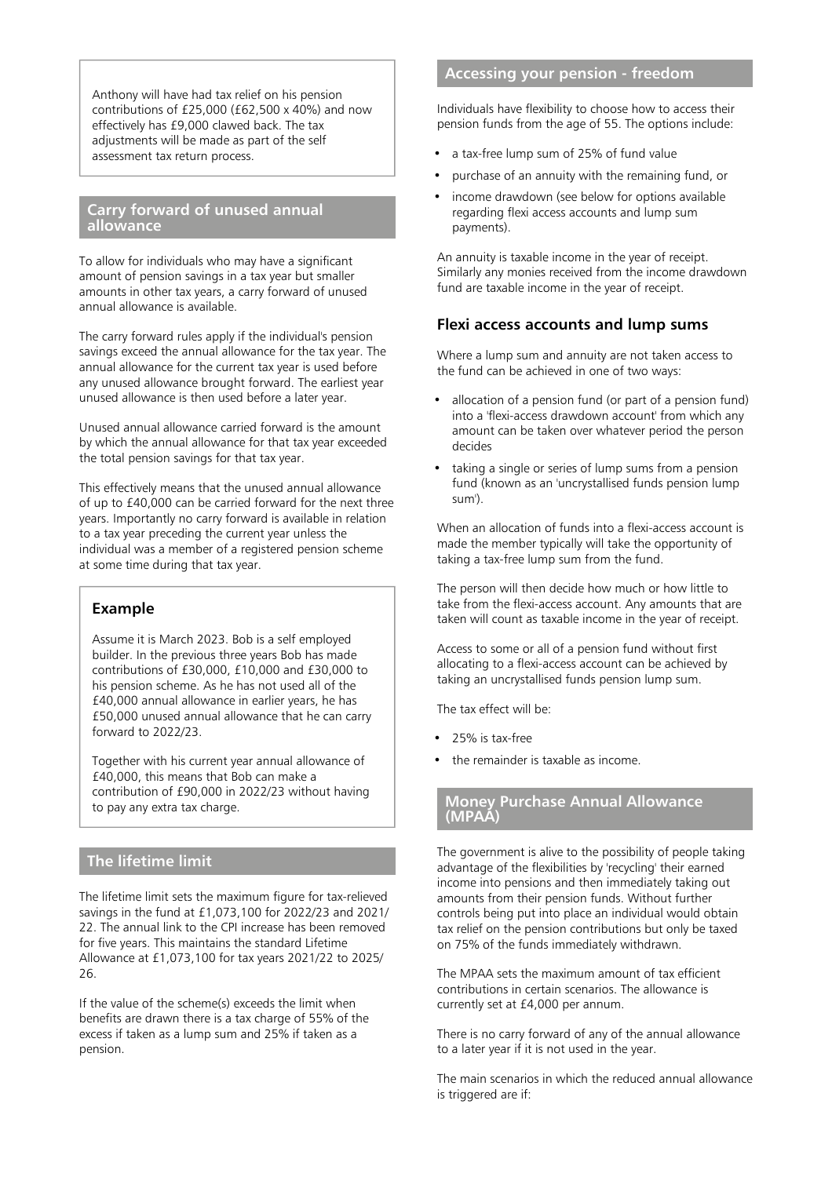Anthony will have had tax relief on his pension contributions of £25,000 (£62,500 x 40%) and now effectively has £9,000 clawed back. The tax adjustments will be made as part of the self assessment tax return process.

#### **Carry forward of unused annual allowance**

To allow for individuals who may have a significant amount of pension savings in a tax year but smaller amounts in other tax years, a carry forward of unused annual allowance is available.

The carry forward rules apply if the individual's pension savings exceed the annual allowance for the tax year. The annual allowance for the current tax year is used before any unused allowance brought forward. The earliest year unused allowance is then used before a later year.

Unused annual allowance carried forward is the amount by which the annual allowance for that tax year exceeded the total pension savings for that tax year.

This effectively means that the unused annual allowance of up to £40,000 can be carried forward for the next three years. Importantly no carry forward is available in relation to a tax year preceding the current year unless the individual was a member of a registered pension scheme at some time during that tax year.

#### **Example**

Assume it is March 2023. Bob is a self employed builder. In the previous three years Bob has made contributions of £30,000, £10,000 and £30,000 to his pension scheme. As he has not used all of the £40,000 annual allowance in earlier years, he has £50,000 unused annual allowance that he can carry forward to 2022/23.

Together with his current year annual allowance of £40,000, this means that Bob can make a contribution of £90,000 in 2022/23 without having to pay any extra tax charge.

# **The lifetime limit**

The lifetime limit sets the maximum figure for tax-relieved savings in the fund at £1,073,100 for 2022/23 and 2021/ 22. The annual link to the CPI increase has been removed for five years. This maintains the standard Lifetime Allowance at £1,073,100 for tax years 2021/22 to 2025/ 26.

If the value of the scheme(s) exceeds the limit when benefits are drawn there is a tax charge of 55% of the excess if taken as a lump sum and 25% if taken as a pension.

# **Accessing your pension - freedom**

Individuals have flexibility to choose how to access their pension funds from the age of 55. The options include:

- a tax-free lump sum of 25% of fund value
- purchase of an annuity with the remaining fund, or
- income drawdown (see below for options available regarding flexi access accounts and lump sum payments).

An annuity is taxable income in the year of receipt. Similarly any monies received from the income drawdown fund are taxable income in the year of receipt.

#### **Flexi access accounts and lump sums**

Where a lump sum and annuity are not taken access to the fund can be achieved in one of two ways:

- allocation of a pension fund (or part of a pension fund) into a 'flexi-access drawdown account' from which any amount can be taken over whatever period the person decides
- taking a single or series of lump sums from a pension fund (known as an 'uncrystallised funds pension lump sum').

When an allocation of funds into a flexi-access account is made the member typically will take the opportunity of taking a tax-free lump sum from the fund.

The person will then decide how much or how little to take from the flexi-access account. Any amounts that are taken will count as taxable income in the year of receipt.

Access to some or all of a pension fund without first allocating to a flexi-access account can be achieved by taking an uncrystallised funds pension lump sum.

The tax effect will be:

- 25% is tax-free
- the remainder is taxable as income.

#### **Money Purchase Annual Allowance (MPAA)**

The government is alive to the possibility of people taking advantage of the flexibilities by 'recycling' their earned income into pensions and then immediately taking out amounts from their pension funds. Without further controls being put into place an individual would obtain tax relief on the pension contributions but only be taxed on 75% of the funds immediately withdrawn.

The MPAA sets the maximum amount of tax efficient contributions in certain scenarios. The allowance is currently set at £4,000 per annum.

There is no carry forward of any of the annual allowance to a later year if it is not used in the year.

The main scenarios in which the reduced annual allowance is triggered are if: